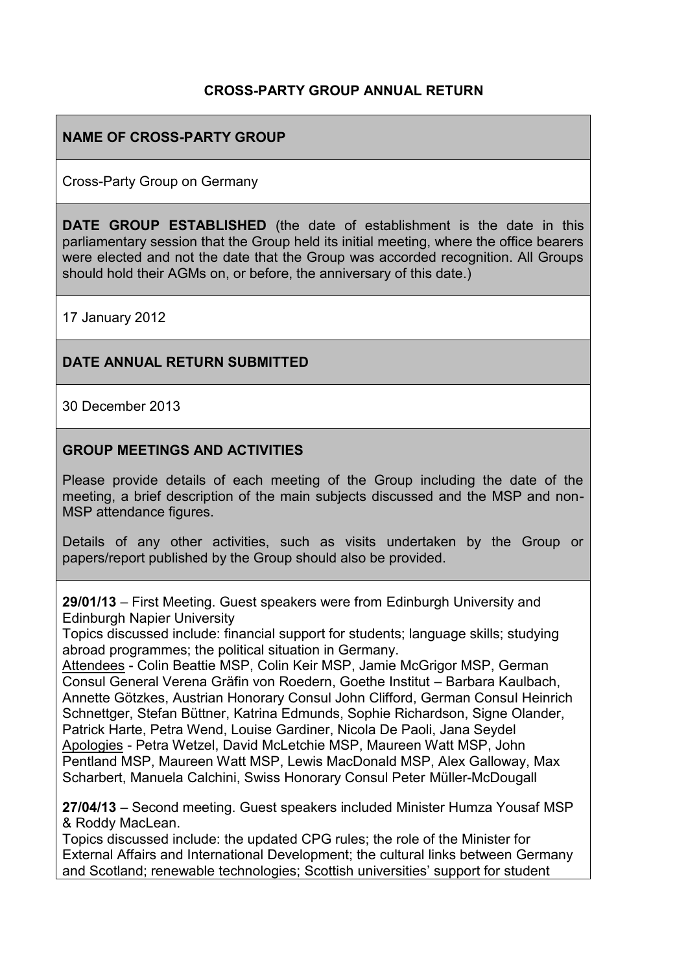## **CROSS-PARTY GROUP ANNUAL RETURN**

## **NAME OF CROSS-PARTY GROUP**

Cross-Party Group on Germany

**DATE GROUP ESTABLISHED** (the date of establishment is the date in this parliamentary session that the Group held its initial meeting, where the office bearers were elected and not the date that the Group was accorded recognition. All Groups should hold their AGMs on, or before, the anniversary of this date.)

17 January 2012

#### **DATE ANNUAL RETURN SUBMITTED**

30 December 2013

#### **GROUP MEETINGS AND ACTIVITIES**

Please provide details of each meeting of the Group including the date of the meeting, a brief description of the main subjects discussed and the MSP and non-MSP attendance figures.

Details of any other activities, such as visits undertaken by the Group or papers/report published by the Group should also be provided.

**29/01/13** – First Meeting. Guest speakers were from Edinburgh University and Edinburgh Napier University

Topics discussed include: financial support for students; language skills; studying abroad programmes; the political situation in Germany.

Attendees - Colin Beattie MSP, Colin Keir MSP, Jamie McGrigor MSP, German Consul General Verena Gräfin von Roedern, Goethe Institut – Barbara Kaulbach, Annette Götzkes, Austrian Honorary Consul John Clifford, German Consul Heinrich Schnettger, Stefan Büttner, Katrina Edmunds, Sophie Richardson, Signe Olander, Patrick Harte, Petra Wend, Louise Gardiner, Nicola De Paoli, Jana Seydel Apologies - Petra Wetzel, David McLetchie MSP, Maureen Watt MSP, John Pentland MSP, Maureen Watt MSP, Lewis MacDonald MSP, Alex Galloway, Max Scharbert, Manuela Calchini, Swiss Honorary Consul Peter Müller-McDougall

**27/04/13** – Second meeting. Guest speakers included Minister Humza Yousaf MSP & Roddy MacLean.

Topics discussed include: the updated CPG rules; the role of the Minister for External Affairs and International Development; the cultural links between Germany and Scotland; renewable technologies; Scottish universities' support for student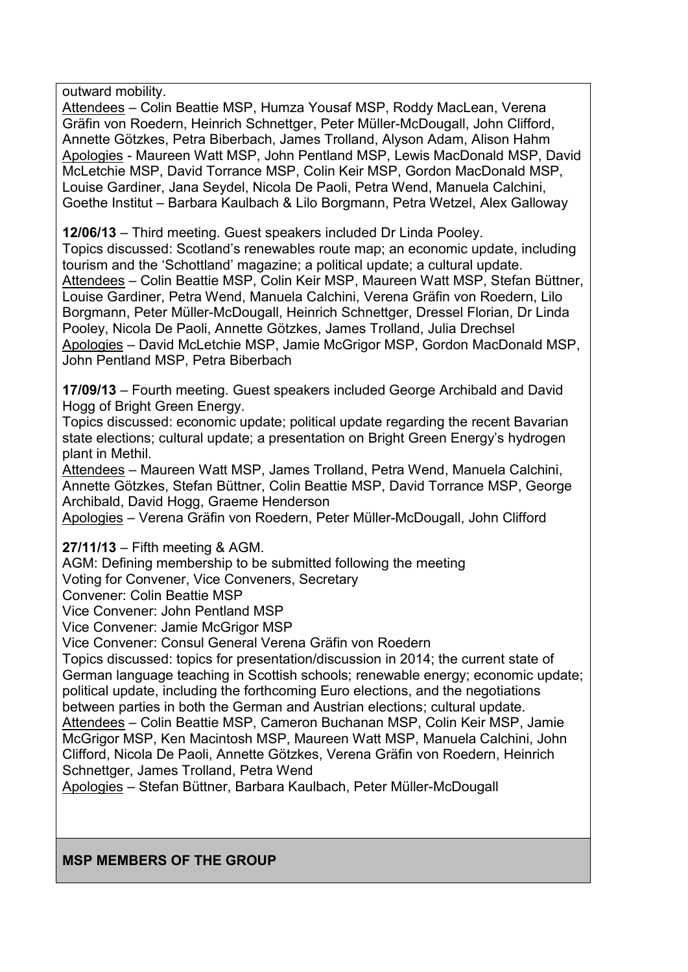outward mobility.

Attendees – Colin Beattie MSP, Humza Yousaf MSP, Roddy MacLean, Verena Gräfin von Roedern, Heinrich Schnettger, Peter Müller-McDougall, John Clifford, Annette Götzkes, Petra Biberbach, James Trolland, Alyson Adam, Alison Hahm Apologies - Maureen Watt MSP, John Pentland MSP, Lewis MacDonald MSP, David McLetchie MSP, David Torrance MSP, Colin Keir MSP, Gordon MacDonald MSP, Louise Gardiner, Jana Seydel, Nicola De Paoli, Petra Wend, Manuela Calchini, Goethe Institut – Barbara Kaulbach & Lilo Borgmann, Petra Wetzel, Alex Galloway

**12/06/13** – Third meeting. Guest speakers included Dr Linda Pooley.

Topics discussed: Scotland's renewables route map; an economic update, including tourism and the 'Schottland' magazine; a political update; a cultural update. Attendees – Colin Beattie MSP, Colin Keir MSP, Maureen Watt MSP, Stefan Büttner, Louise Gardiner, Petra Wend, Manuela Calchini, Verena Gräfin von Roedern, Lilo Borgmann, Peter Müller-McDougall, Heinrich Schnettger, Dressel Florian, Dr Linda Pooley, Nicola De Paoli, Annette Götzkes, James Trolland, Julia Drechsel Apologies – David McLetchie MSP, Jamie McGrigor MSP, Gordon MacDonald MSP, John Pentland MSP, Petra Biberbach

**17/09/13** – Fourth meeting. Guest speakers included George Archibald and David Hogg of Bright Green Energy.

Topics discussed: economic update; political update regarding the recent Bavarian state elections; cultural update; a presentation on Bright Green Energy's hydrogen plant in Methil.

Attendees – Maureen Watt MSP, James Trolland, Petra Wend, Manuela Calchini, Annette Götzkes, Stefan Büttner, Colin Beattie MSP, David Torrance MSP, George Archibald, David Hogg, Graeme Henderson

Apologies – Verena Gräfin von Roedern, Peter Müller-McDougall, John Clifford

**27/11/13** – Fifth meeting & AGM.

AGM: Defining membership to be submitted following the meeting

Voting for Convener, Vice Conveners, Secretary

Convener: Colin Beattie MSP

Vice Convener: John Pentland MSP

Vice Convener: Jamie McGrigor MSP

Vice Convener: Consul General Verena Gräfin von Roedern

Topics discussed: topics for presentation/discussion in 2014; the current state of German language teaching in Scottish schools; renewable energy; economic update; political update, including the forthcoming Euro elections, and the negotiations between parties in both the German and Austrian elections; cultural update. Attendees – Colin Beattie MSP, Cameron Buchanan MSP, Colin Keir MSP, Jamie

McGrigor MSP, Ken Macintosh MSP, Maureen Watt MSP, Manuela Calchini, John Clifford, Nicola De Paoli, Annette Götzkes, Verena Gräfin von Roedern, Heinrich Schnettger, James Trolland, Petra Wend

Apologies – Stefan Büttner, Barbara Kaulbach, Peter Müller-McDougall

#### **MSP MEMBERS OF THE GROUP**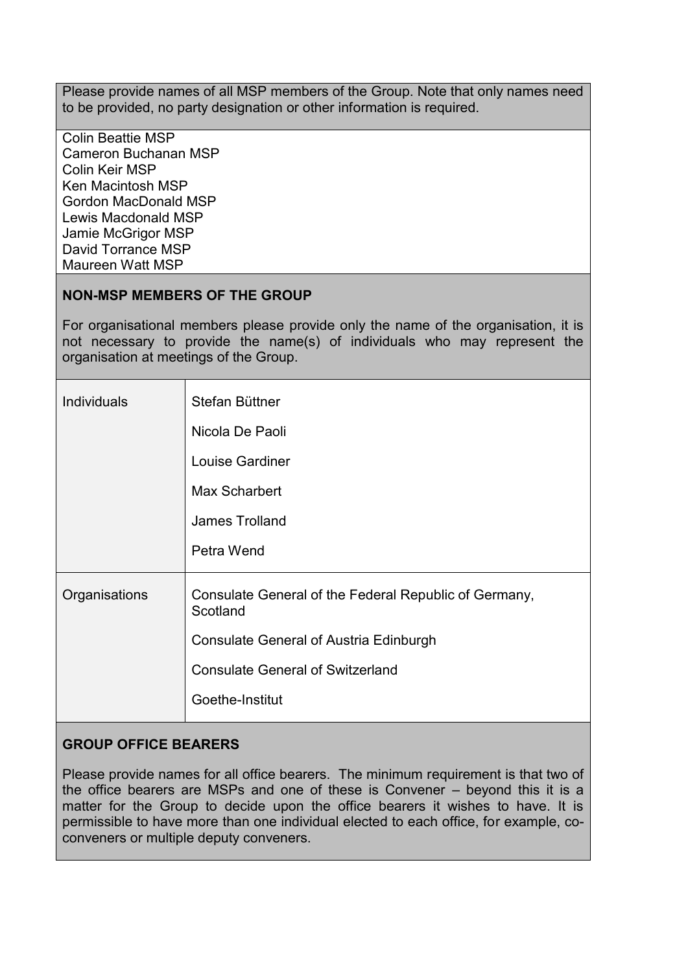Please provide names of all MSP members of the Group. Note that only names need to be provided, no party designation or other information is required.

Colin Beattie MSP Cameron Buchanan MSP Colin Keir MSP Ken Macintosh MSP Gordon MacDonald MSP Lewis Macdonald MSP Jamie McGrigor MSP David Torrance MSP Maureen Watt MSP

## **NON-MSP MEMBERS OF THE GROUP**

For organisational members please provide only the name of the organisation, it is not necessary to provide the name(s) of individuals who may represent the organisation at meetings of the Group.

| <b>Individuals</b> | Stefan Büttner                                                    |
|--------------------|-------------------------------------------------------------------|
|                    | Nicola De Paoli                                                   |
|                    | Louise Gardiner                                                   |
|                    | Max Scharbert                                                     |
|                    | James Trolland                                                    |
|                    | Petra Wend                                                        |
| Organisations      | Consulate General of the Federal Republic of Germany,<br>Scotland |
|                    | <b>Consulate General of Austria Edinburgh</b>                     |
|                    | <b>Consulate General of Switzerland</b>                           |
|                    | Goethe-Institut                                                   |

## **GROUP OFFICE BEARERS**

Please provide names for all office bearers. The minimum requirement is that two of the office bearers are MSPs and one of these is Convener – beyond this it is a matter for the Group to decide upon the office bearers it wishes to have. It is permissible to have more than one individual elected to each office, for example, coconveners or multiple deputy conveners.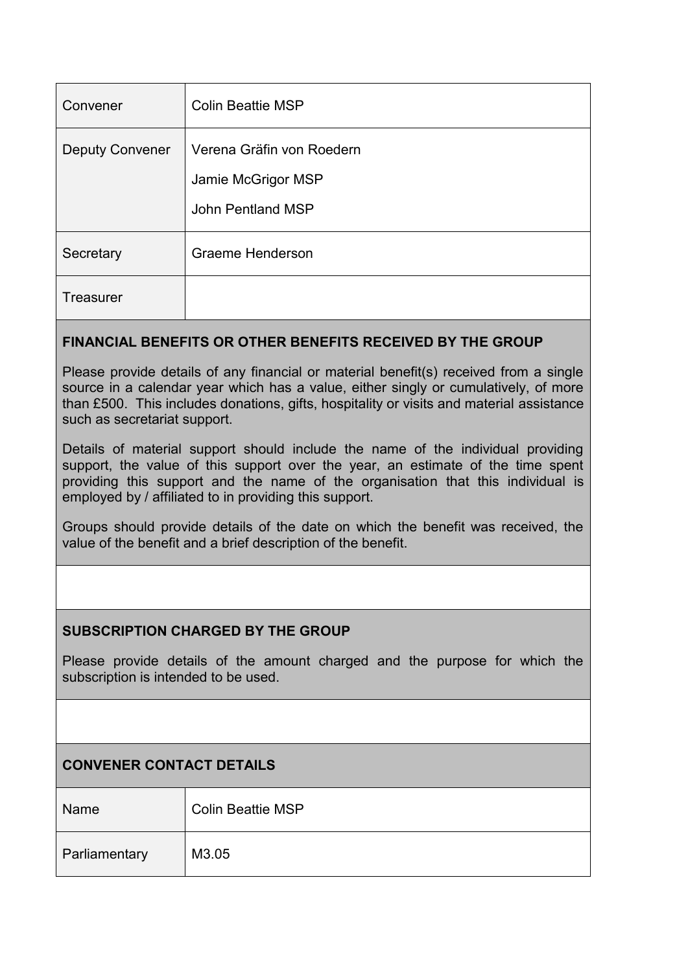| Convener               | <b>Colin Beattie MSP</b>                                             |
|------------------------|----------------------------------------------------------------------|
| <b>Deputy Convener</b> | Verena Gräfin von Roedern<br>Jamie McGrigor MSP<br>John Pentland MSP |
| Secretary              | Graeme Henderson                                                     |
| <b>Treasurer</b>       |                                                                      |

# **FINANCIAL BENEFITS OR OTHER BENEFITS RECEIVED BY THE GROUP**

Please provide details of any financial or material benefit(s) received from a single source in a calendar year which has a value, either singly or cumulatively, of more than £500. This includes donations, gifts, hospitality or visits and material assistance such as secretariat support.

Details of material support should include the name of the individual providing support, the value of this support over the year, an estimate of the time spent providing this support and the name of the organisation that this individual is employed by / affiliated to in providing this support.

Groups should provide details of the date on which the benefit was received, the value of the benefit and a brief description of the benefit.

## **SUBSCRIPTION CHARGED BY THE GROUP**

Please provide details of the amount charged and the purpose for which the subscription is intended to be used.

# **CONVENER CONTACT DETAILS**

| Name          | <b>Colin Beattie MSP</b> |
|---------------|--------------------------|
| Parliamentary | M3.05                    |